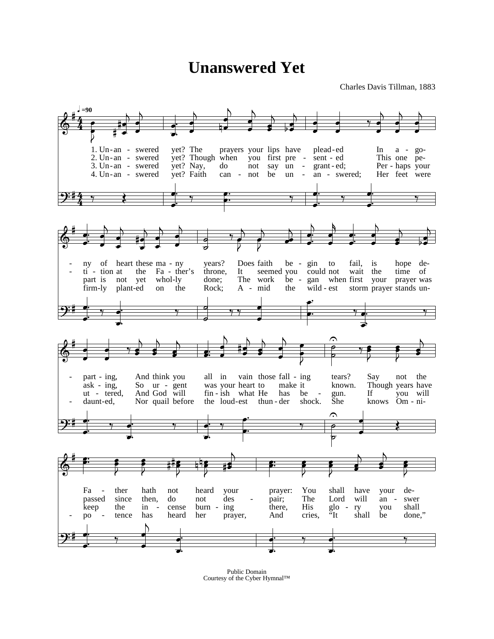## **Unanswered Yet**

Charles Davis Tillman, 1883



Public Domain Courtesy of the Cyber Hymnal™